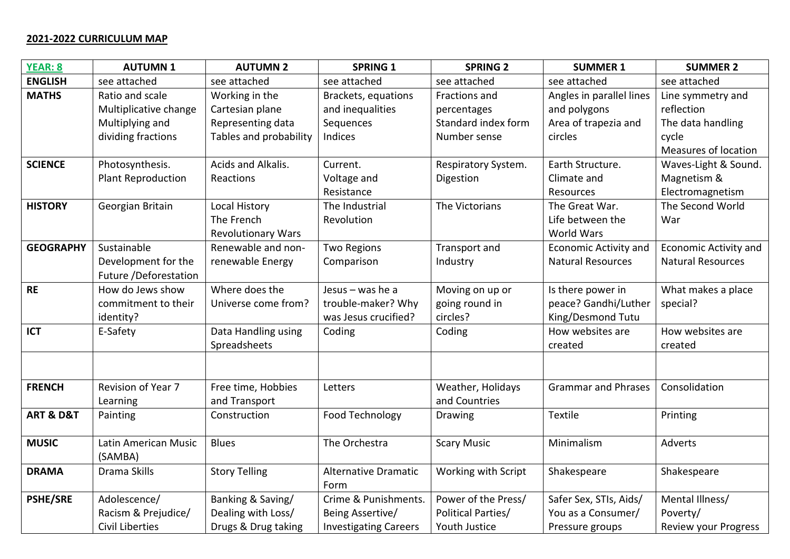## **2021-2022 CURRICULUM MAP**

| <b>YEAR: 8</b>           | <b>AUTUMN1</b>            | <b>AUTUMN 2</b>           | <b>SPRING 1</b>              | <b>SPRING 2</b>           | <b>SUMMER 1</b>              | <b>SUMMER 2</b>              |
|--------------------------|---------------------------|---------------------------|------------------------------|---------------------------|------------------------------|------------------------------|
| <b>ENGLISH</b>           | see attached              | see attached              | see attached                 | see attached              | see attached                 | see attached                 |
| <b>MATHS</b>             | Ratio and scale           | Working in the            | Brackets, equations          | Fractions and             | Angles in parallel lines     | Line symmetry and            |
|                          | Multiplicative change     | Cartesian plane           | and inequalities             | percentages               | and polygons                 | reflection                   |
|                          | Multiplying and           | Representing data         | Sequences                    | Standard index form       | Area of trapezia and         | The data handling            |
|                          | dividing fractions        | Tables and probability    | Indices                      | Number sense              | circles                      | cycle                        |
|                          |                           |                           |                              |                           |                              | Measures of location         |
| <b>SCIENCE</b>           | Photosynthesis.           | Acids and Alkalis.        | Current.                     | Respiratory System.       | Earth Structure.             | Waves-Light & Sound.         |
|                          | <b>Plant Reproduction</b> | Reactions                 | Voltage and                  | Digestion                 | Climate and                  | Magnetism &                  |
|                          |                           |                           | Resistance                   |                           | Resources                    | Electromagnetism             |
| <b>HISTORY</b>           | Georgian Britain          | Local History             | The Industrial               | The Victorians            | The Great War.               | The Second World             |
|                          |                           | The French                | Revolution                   |                           | Life between the             | War                          |
|                          |                           | <b>Revolutionary Wars</b> |                              |                           | <b>World Wars</b>            |                              |
| <b>GEOGRAPHY</b>         | Sustainable               | Renewable and non-        | <b>Two Regions</b>           | Transport and             | <b>Economic Activity and</b> | <b>Economic Activity and</b> |
|                          | Development for the       | renewable Energy          | Comparison                   | Industry                  | <b>Natural Resources</b>     | <b>Natural Resources</b>     |
|                          | Future /Deforestation     |                           |                              |                           |                              |                              |
| <b>RE</b>                | How do Jews show          | Where does the            | Jesus $-$ was he a           | Moving on up or           | Is there power in            | What makes a place           |
|                          | commitment to their       | Universe come from?       | trouble-maker? Why           | going round in            | peace? Gandhi/Luther         | special?                     |
|                          | identity?                 |                           | was Jesus crucified?         | circles?                  | King/Desmond Tutu            |                              |
| <b>ICT</b>               | E-Safety                  | Data Handling using       | Coding                       | Coding                    | How websites are             | How websites are             |
|                          |                           | Spreadsheets              |                              |                           | created                      | created                      |
|                          |                           |                           |                              |                           |                              |                              |
| <b>FRENCH</b>            | Revision of Year 7        | Free time, Hobbies        | Letters                      | Weather, Holidays         | <b>Grammar and Phrases</b>   | Consolidation                |
|                          | Learning                  | and Transport             |                              | and Countries             |                              |                              |
| <b>ART &amp; D&amp;T</b> | Painting                  | Construction              | Food Technology              | <b>Drawing</b>            | <b>Textile</b>               | Printing                     |
|                          |                           |                           |                              |                           |                              |                              |
| <b>MUSIC</b>             | Latin American Music      | <b>Blues</b>              | The Orchestra                | <b>Scary Music</b>        | Minimalism                   | Adverts                      |
|                          | (SAMBA)                   |                           |                              |                           |                              |                              |
| <b>DRAMA</b>             | Drama Skills              | <b>Story Telling</b>      | <b>Alternative Dramatic</b>  | Working with Script       | Shakespeare                  | Shakespeare                  |
|                          |                           |                           | Form                         |                           |                              |                              |
| <b>PSHE/SRE</b>          | Adolescence/              | Banking & Saving/         | Crime & Punishments.         | Power of the Press/       | Safer Sex, STIs, Aids/       | Mental Illness/              |
|                          | Racism & Prejudice/       | Dealing with Loss/        | Being Assertive/             | <b>Political Parties/</b> | You as a Consumer/           | Poverty/                     |
|                          | <b>Civil Liberties</b>    | Drugs & Drug taking       | <b>Investigating Careers</b> | Youth Justice             | Pressure groups              | Review your Progress         |